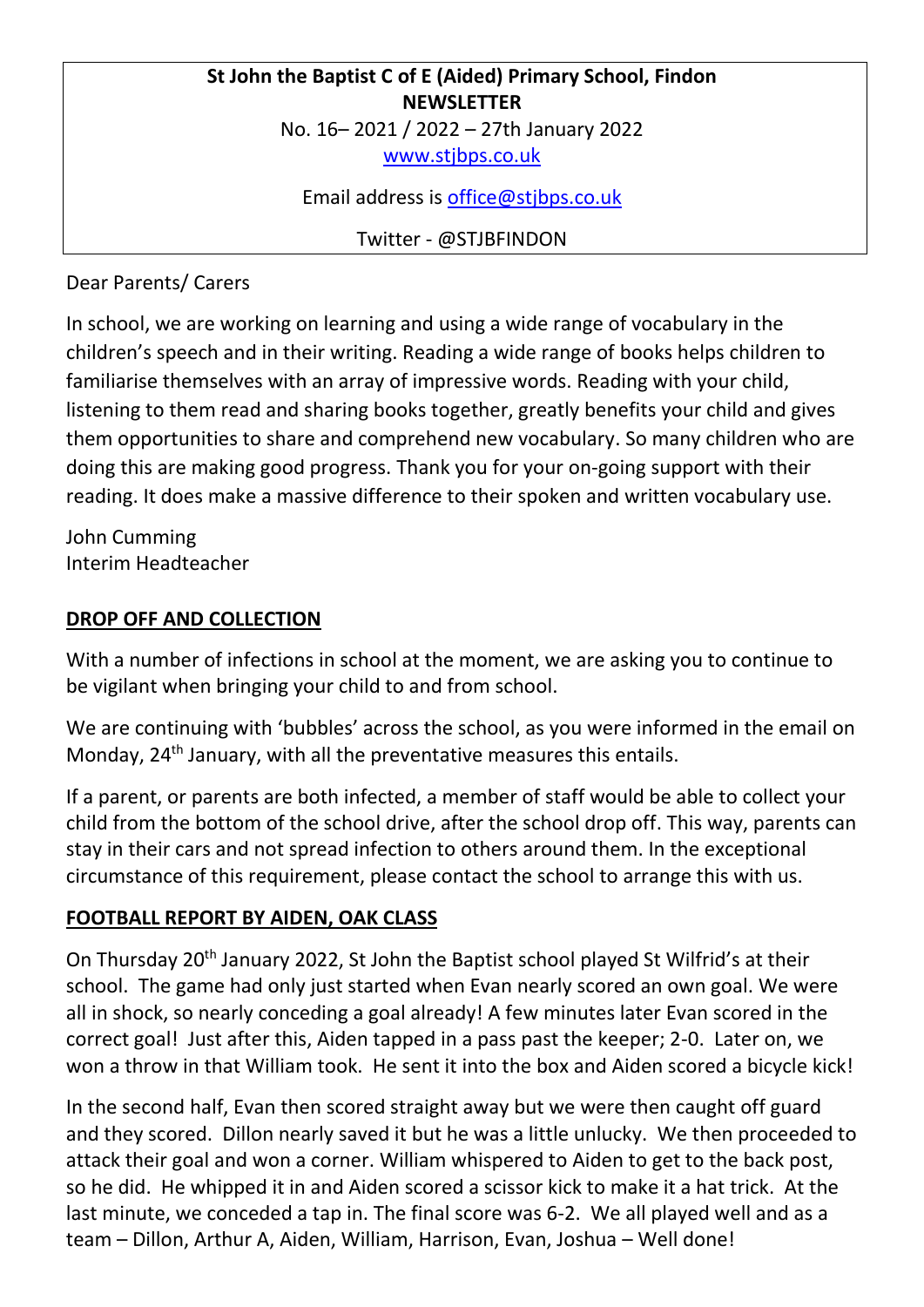## **St John the Baptist C of E (Aided) Primary School, Findon NEWSLETTER** No. 16– 2021 / 2022 – 27th January 2022

[www.stjbps.co.uk](http://www.stjbps.co.uk/)

Email address is [office@stjbps.co.uk](mailto:office@stjbps.co.uk)

Twitter - @STJBFINDON

Dear Parents/ Carers

In school, we are working on learning and using a wide range of vocabulary in the children's speech and in their writing. Reading a wide range of books helps children to familiarise themselves with an array of impressive words. Reading with your child, listening to them read and sharing books together, greatly benefits your child and gives them opportunities to share and comprehend new vocabulary. So many children who are doing this are making good progress. Thank you for your on-going support with their reading. It does make a massive difference to their spoken and written vocabulary use.

John Cumming Interim Headteacher

## **DROP OFF AND COLLECTION**

With a number of infections in school at the moment, we are asking you to continue to be vigilant when bringing your child to and from school.

We are continuing with 'bubbles' across the school, as you were informed in the email on Monday,  $24<sup>th</sup>$  January, with all the preventative measures this entails.

If a parent, or parents are both infected, a member of staff would be able to collect your child from the bottom of the school drive, after the school drop off. This way, parents can stay in their cars and not spread infection to others around them. In the exceptional circumstance of this requirement, please contact the school to arrange this with us.

## **FOOTBALL REPORT BY AIDEN, OAK CLASS**

On Thursday 20th January 2022, St John the Baptist school played St Wilfrid's at their school. The game had only just started when Evan nearly scored an own goal. We were all in shock, so nearly conceding a goal already! A few minutes later Evan scored in the correct goal! Just after this, Aiden tapped in a pass past the keeper; 2-0. Later on, we won a throw in that William took. He sent it into the box and Aiden scored a bicycle kick!

In the second half, Evan then scored straight away but we were then caught off guard and they scored. Dillon nearly saved it but he was a little unlucky. We then proceeded to attack their goal and won a corner. William whispered to Aiden to get to the back post, so he did. He whipped it in and Aiden scored a scissor kick to make it a hat trick. At the last minute, we conceded a tap in. The final score was 6-2. We all played well and as a team – Dillon, Arthur A, Aiden, William, Harrison, Evan, Joshua – Well done!